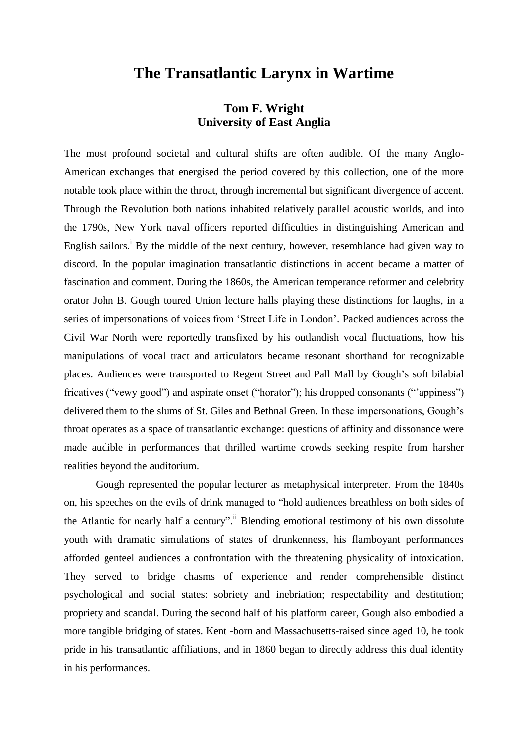# **The Transatlantic Larynx in Wartime**

## **Tom F. Wright University of East Anglia**

The most profound societal and cultural shifts are often audible. Of the many Anglo-American exchanges that energised the period covered by this collection, one of the more notable took place within the throat, through incremental but significant divergence of accent. Through the Revolution both nations inhabited relatively parallel acoustic worlds, and into the 1790s, New York naval officers reported difficulties in distinguishing American and English sailors.<sup>i</sup> By the middle of the next century, however, resemblance had given way to discord. In the popular imagination transatlantic distinctions in accent became a matter of fascination and comment. During the 1860s, the American temperance reformer and celebrity orator John B. Gough toured Union lecture halls playing these distinctions for laughs, in a series of impersonations of voices from "Street Life in London". Packed audiences across the Civil War North were reportedly transfixed by his outlandish vocal fluctuations, how his manipulations of vocal tract and articulators became resonant shorthand for recognizable places. Audiences were transported to Regent Street and Pall Mall by Gough"s soft bilabial fricatives ("vewy good") and aspirate onset ("horator"); his dropped consonants (""appiness") delivered them to the slums of St. Giles and Bethnal Green. In these impersonations, Gough"s throat operates as a space of transatlantic exchange: questions of affinity and dissonance were made audible in performances that thrilled wartime crowds seeking respite from harsher realities beyond the auditorium.

Gough represented the popular lecturer as metaphysical interpreter. From the 1840s on, his speeches on the evils of drink managed to "hold audiences breathless on both sides of the Atlantic for nearly half a century".<sup>ii</sup> Blending emotional testimony of his own dissolute youth with dramatic simulations of states of drunkenness, his flamboyant performances afforded genteel audiences a confrontation with the threatening physicality of intoxication. They served to bridge chasms of experience and render comprehensible distinct psychological and social states: sobriety and inebriation; respectability and destitution; propriety and scandal. During the second half of his platform career, Gough also embodied a more tangible bridging of states. Kent -born and Massachusetts-raised since aged 10, he took pride in his transatlantic affiliations, and in 1860 began to directly address this dual identity in his performances.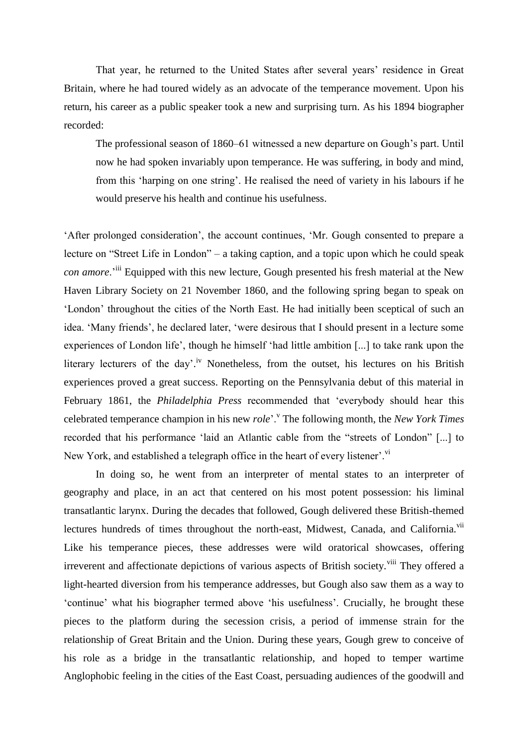That year, he returned to the United States after several years' residence in Great Britain, where he had toured widely as an advocate of the temperance movement. Upon his return, his career as a public speaker took a new and surprising turn. As his 1894 biographer recorded:

The professional season of 1860–61 witnessed a new departure on Gough"s part. Until now he had spoken invariably upon temperance. He was suffering, in body and mind, from this "harping on one string". He realised the need of variety in his labours if he would preserve his health and continue his usefulness.

"After prolonged consideration", the account continues, "Mr. Gough consented to prepare a lecture on "Street Life in London" – a taking caption, and a topic upon which he could speak *con amore*."iii Equipped with this new lecture, Gough presented his fresh material at the New Haven Library Society on 21 November 1860, and the following spring began to speak on "London" throughout the cities of the North East. He had initially been sceptical of such an idea. "Many friends", he declared later, "were desirous that I should present in a lecture some experiences of London life', though he himself 'had little ambition [...] to take rank upon the literary lecturers of the day'.<sup>iv</sup> Nonetheless, from the outset, his lectures on his British experiences proved a great success. Reporting on the Pennsylvania debut of this material in February 1861, the *Philadelphia Press* recommended that "everybody should hear this celebrated temperance champion in his new *role*'. The following month, the *New York Times* recorded that his performance "laid an Atlantic cable from the "streets of London" [...] to New York, and established a telegraph office in the heart of every listener'.<sup>vi</sup>

In doing so, he went from an interpreter of mental states to an interpreter of geography and place, in an act that centered on his most potent possession: his liminal transatlantic larynx. During the decades that followed, Gough delivered these British-themed lectures hundreds of times throughout the north-east, Midwest, Canada, and California.<sup>vii</sup> Like his temperance pieces, these addresses were wild oratorical showcases, offering irreverent and affectionate depictions of various aspects of British society.<sup>viii</sup> They offered a light-hearted diversion from his temperance addresses, but Gough also saw them as a way to "continue" what his biographer termed above "his usefulness". Crucially, he brought these pieces to the platform during the secession crisis, a period of immense strain for the relationship of Great Britain and the Union. During these years, Gough grew to conceive of his role as a bridge in the transatlantic relationship, and hoped to temper wartime Anglophobic feeling in the cities of the East Coast, persuading audiences of the goodwill and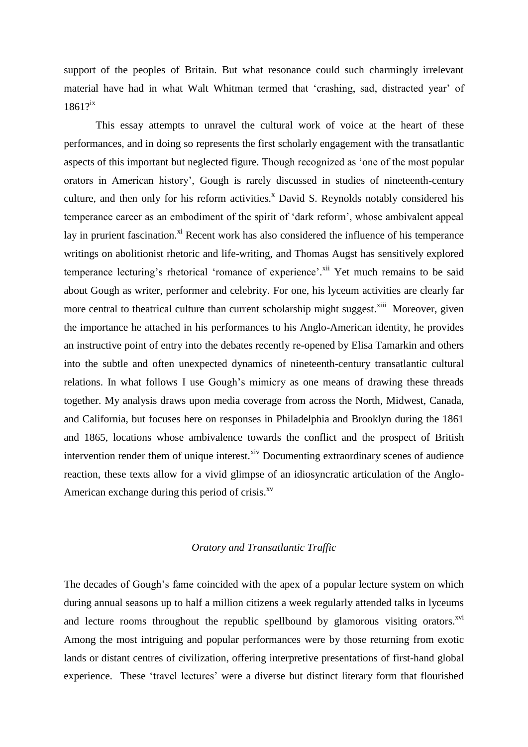support of the peoples of Britain. But what resonance could such charmingly irrelevant material have had in what Walt Whitman termed that 'crashing, sad, distracted year' of  $1861$ <sup>2ix</sup>

This essay attempts to unravel the cultural work of voice at the heart of these performances, and in doing so represents the first scholarly engagement with the transatlantic aspects of this important but neglected figure. Though recognized as "one of the most popular orators in American history", Gough is rarely discussed in studies of nineteenth-century culture, and then only for his reform activities.<sup> $x$ </sup> David S. Reynolds notably considered his temperance career as an embodiment of the spirit of "dark reform", whose ambivalent appeal lay in prurient fascination. $x_i$ <sup>i</sup> Recent work has also considered the influence of his temperance writings on abolitionist rhetoric and life-writing, and Thomas Augst has sensitively explored temperance lecturing's rhetorical 'romance of experience'.<sup>xii</sup> Yet much remains to be said about Gough as writer, performer and celebrity. For one, his lyceum activities are clearly far more central to theatrical culture than current scholarship might suggest.<sup>xiii</sup> Moreover, given the importance he attached in his performances to his Anglo-American identity, he provides an instructive point of entry into the debates recently re-opened by Elisa Tamarkin and others into the subtle and often unexpected dynamics of nineteenth-century transatlantic cultural relations. In what follows I use Gough's mimicry as one means of drawing these threads together. My analysis draws upon media coverage from across the North, Midwest, Canada, and California, but focuses here on responses in Philadelphia and Brooklyn during the 1861 and 1865, locations whose ambivalence towards the conflict and the prospect of British intervention render them of unique interest. $x_{ik}$  Documenting extraordinary scenes of audience reaction, these texts allow for a vivid glimpse of an idiosyncratic articulation of the Anglo-American exchange during this period of crisis. $x<sub>v</sub>$ 

### *Oratory and Transatlantic Traffic*

The decades of Gough's fame coincided with the apex of a popular lecture system on which during annual seasons up to half a million citizens a week regularly attended talks in lyceums and lecture rooms throughout the republic spellbound by glamorous visiting orators.<sup>xvi</sup> Among the most intriguing and popular performances were by those returning from exotic lands or distant centres of civilization, offering interpretive presentations of first-hand global experience. These 'travel lectures' were a diverse but distinct literary form that flourished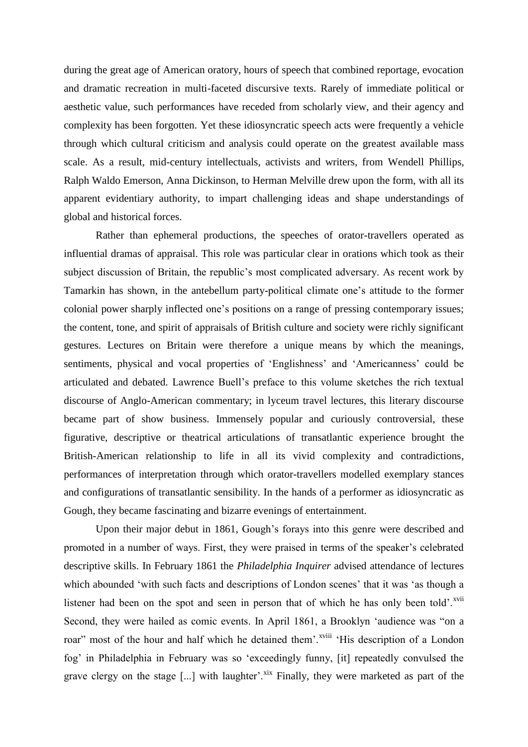during the great age of American oratory, hours of speech that combined reportage, evocation and dramatic recreation in multi-faceted discursive texts. Rarely of immediate political or aesthetic value, such performances have receded from scholarly view, and their agency and complexity has been forgotten. Yet these idiosyncratic speech acts were frequently a vehicle through which cultural criticism and analysis could operate on the greatest available mass scale. As a result, mid-century intellectuals, activists and writers, from Wendell Phillips, Ralph Waldo Emerson, Anna Dickinson, to Herman Melville drew upon the form, with all its apparent evidentiary authority, to impart challenging ideas and shape understandings of global and historical forces.

Rather than ephemeral productions, the speeches of orator-travellers operated as influential dramas of appraisal. This role was particular clear in orations which took as their subject discussion of Britain, the republic"s most complicated adversary. As recent work by Tamarkin has shown, in the antebellum party-political climate one"s attitude to the former colonial power sharply inflected one"s positions on a range of pressing contemporary issues; the content, tone, and spirit of appraisals of British culture and society were richly significant gestures. Lectures on Britain were therefore a unique means by which the meanings, sentiments, physical and vocal properties of 'Englishness' and 'Americanness' could be articulated and debated. Lawrence Buell"s preface to this volume sketches the rich textual discourse of Anglo-American commentary; in lyceum travel lectures, this literary discourse became part of show business. Immensely popular and curiously controversial, these figurative, descriptive or theatrical articulations of transatlantic experience brought the British-American relationship to life in all its vivid complexity and contradictions, performances of interpretation through which orator-travellers modelled exemplary stances and configurations of transatlantic sensibility. In the hands of a performer as idiosyncratic as Gough, they became fascinating and bizarre evenings of entertainment.

Upon their major debut in 1861, Gough"s forays into this genre were described and promoted in a number of ways. First, they were praised in terms of the speaker's celebrated descriptive skills. In February 1861 the *Philadelphia Inquirer* advised attendance of lectures which abounded 'with such facts and descriptions of London scenes' that it was 'as though a listener had been on the spot and seen in person that of which he has only been told'.<sup>xvii</sup> Second, they were hailed as comic events. In April 1861, a Brooklyn "audience was "on a roar" most of the hour and half which he detained them'.<sup>xviii</sup> 'His description of a London fog" in Philadelphia in February was so "exceedingly funny, [it] repeatedly convulsed the grave clergy on the stage  $[\dots]$  with laughter'.<sup>xix</sup> Finally, they were marketed as part of the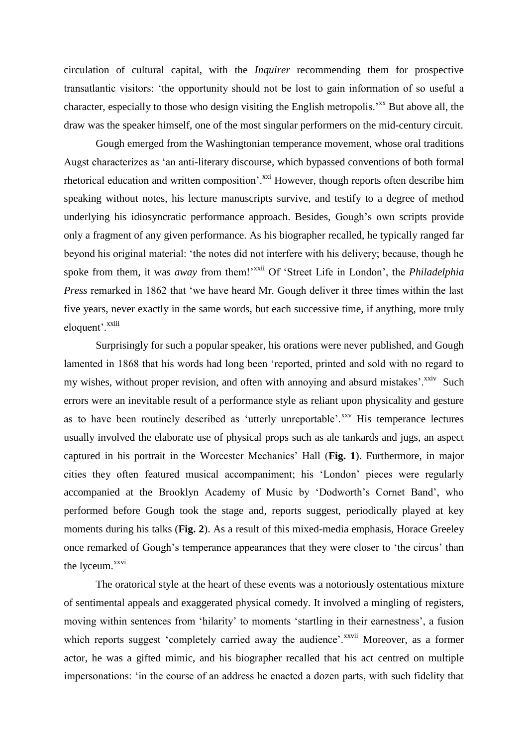circulation of cultural capital, with the *Inquirer* recommending them for prospective transatlantic visitors: "the opportunity should not be lost to gain information of so useful a character, especially to those who design visiting the English metropolis.<sup>xx</sup> But above all, the draw was the speaker himself, one of the most singular performers on the mid-century circuit.

Gough emerged from the Washingtonian temperance movement, whose oral traditions Augst characterizes as "an anti-literary discourse, which bypassed conventions of both formal rhetorical education and written composition'.<sup>xxi</sup> However, though reports often describe him speaking without notes, his lecture manuscripts survive, and testify to a degree of method underlying his idiosyncratic performance approach. Besides, Gough"s own scripts provide only a fragment of any given performance. As his biographer recalled, he typically ranged far beyond his original material: "the notes did not interfere with his delivery; because, though he spoke from them, it was *away* from them!<sup>"xxii</sup> Of 'Street Life in London', the *Philadelphia Press* remarked in 1862 that "we have heard Mr. Gough deliver it three times within the last five years, never exactly in the same words, but each successive time, if anything, more truly eloquent'.<sup>xxiii</sup>

Surprisingly for such a popular speaker, his orations were never published, and Gough lamented in 1868 that his words had long been "reported, printed and sold with no regard to my wishes, without proper revision, and often with annoying and absurd mistakes'. $^{xxiv}$  Such errors were an inevitable result of a performance style as reliant upon physicality and gesture as to have been routinely described as 'utterly unreportable'.<sup>xxv</sup> His temperance lectures usually involved the elaborate use of physical props such as ale tankards and jugs, an aspect captured in his portrait in the Worcester Mechanics" Hall (**Fig. 1**). Furthermore, in major cities they often featured musical accompaniment; his "London" pieces were regularly accompanied at the Brooklyn Academy of Music by "Dodworth"s Cornet Band", who performed before Gough took the stage and, reports suggest, periodically played at key moments during his talks (**Fig. 2**). As a result of this mixed-media emphasis, Horace Greeley once remarked of Gough's temperance appearances that they were closer to 'the circus' than the lyceum.<sup>xxvi</sup>

The oratorical style at the heart of these events was a notoriously ostentatious mixture of sentimental appeals and exaggerated physical comedy. It involved a mingling of registers, moving within sentences from 'hilarity' to moments 'startling in their earnestness', a fusion which reports suggest 'completely carried away the audience'.<sup>xxvii</sup> Moreover, as a former actor, he was a gifted mimic, and his biographer recalled that his act centred on multiple impersonations: "in the course of an address he enacted a dozen parts, with such fidelity that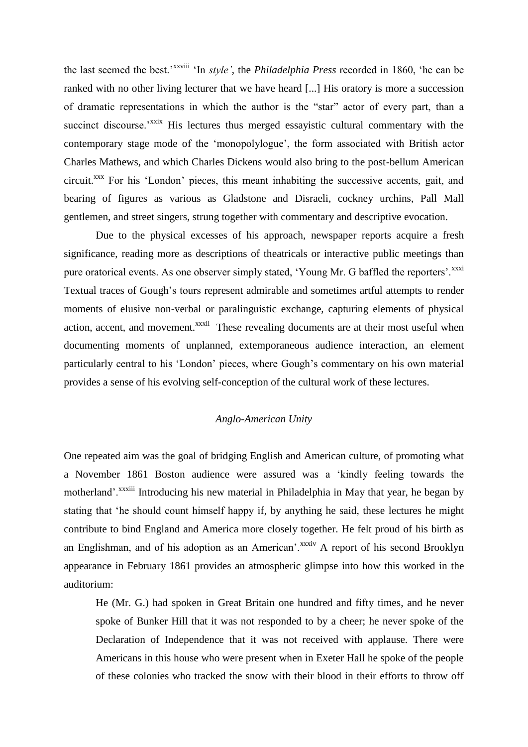the last seemed the best."xxviii "In *style'*, the *Philadelphia Press* recorded in 1860, "he can be ranked with no other living lecturer that we have heard [...] His oratory is more a succession of dramatic representations in which the author is the "star" actor of every part, than a succinct discourse.<sup>xxix</sup> His lectures thus merged essayistic cultural commentary with the contemporary stage mode of the "monopolylogue", the form associated with British actor Charles Mathews, and which Charles Dickens would also bring to the post-bellum American circuit. $x^{\text{xx}}$  For his 'London' pieces, this meant inhabiting the successive accents, gait, and bearing of figures as various as Gladstone and Disraeli, cockney urchins, Pall Mall gentlemen, and street singers, strung together with commentary and descriptive evocation.

Due to the physical excesses of his approach, newspaper reports acquire a fresh significance, reading more as descriptions of theatricals or interactive public meetings than pure oratorical events. As one observer simply stated, 'Young Mr. G baffled the reporters'.<sup>xxxi</sup> Textual traces of Gough's tours represent admirable and sometimes artful attempts to render moments of elusive non-verbal or paralinguistic exchange, capturing elements of physical action, accent, and movement.<sup>xxxii</sup> These revealing documents are at their most useful when documenting moments of unplanned, extemporaneous audience interaction, an element particularly central to his "London" pieces, where Gough"s commentary on his own material provides a sense of his evolving self-conception of the cultural work of these lectures.

#### *Anglo-American Unity*

One repeated aim was the goal of bridging English and American culture, of promoting what a November 1861 Boston audience were assured was a "kindly feeling towards the motherland'.<sup>xxxiii</sup> Introducing his new material in Philadelphia in May that year, he began by stating that "he should count himself happy if, by anything he said, these lectures he might contribute to bind England and America more closely together. He felt proud of his birth as an Englishman, and of his adoption as an American'.<sup>xxxiv</sup> A report of his second Brooklyn appearance in February 1861 provides an atmospheric glimpse into how this worked in the auditorium:

He (Mr. G.) had spoken in Great Britain one hundred and fifty times, and he never spoke of Bunker Hill that it was not responded to by a cheer; he never spoke of the Declaration of Independence that it was not received with applause. There were Americans in this house who were present when in Exeter Hall he spoke of the people of these colonies who tracked the snow with their blood in their efforts to throw off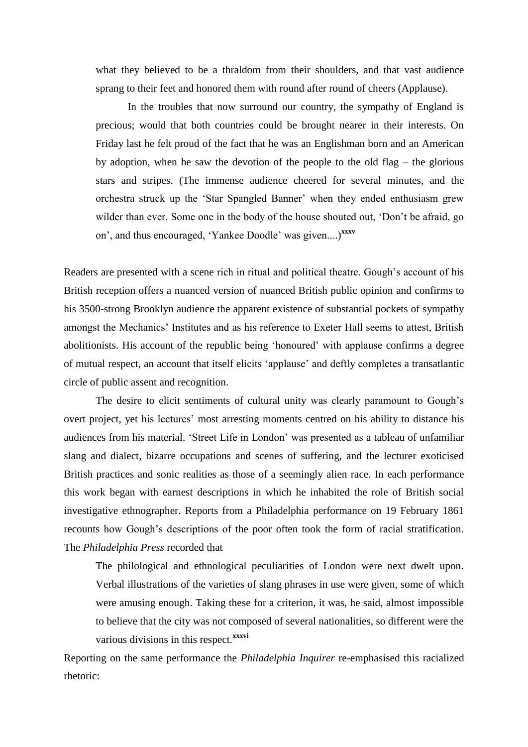what they believed to be a thraldom from their shoulders, and that vast audience sprang to their feet and honored them with round after round of cheers (Applause).

In the troubles that now surround our country, the sympathy of England is precious; would that both countries could be brought nearer in their interests. On Friday last he felt proud of the fact that he was an Englishman born and an American by adoption, when he saw the devotion of the people to the old flag – the glorious stars and stripes. (The immense audience cheered for several minutes, and the orchestra struck up the "Star Spangled Banner" when they ended enthusiasm grew wilder than ever. Some one in the body of the house shouted out, "Don"t be afraid, go on", and thus encouraged, "Yankee Doodle" was given....)**xxxv**

Readers are presented with a scene rich in ritual and political theatre. Gough"s account of his British reception offers a nuanced version of nuanced British public opinion and confirms to his 3500-strong Brooklyn audience the apparent existence of substantial pockets of sympathy amongst the Mechanics' Institutes and as his reference to Exeter Hall seems to attest, British abolitionists. His account of the republic being "honoured" with applause confirms a degree of mutual respect, an account that itself elicits "applause" and deftly completes a transatlantic circle of public assent and recognition.

The desire to elicit sentiments of cultural unity was clearly paramount to Gough's overt project, yet his lectures' most arresting moments centred on his ability to distance his audiences from his material. "Street Life in London" was presented as a tableau of unfamiliar slang and dialect, bizarre occupations and scenes of suffering, and the lecturer exoticised British practices and sonic realities as those of a seemingly alien race. In each performance this work began with earnest descriptions in which he inhabited the role of British social investigative ethnographer. Reports from a Philadelphia performance on 19 February 1861 recounts how Gough"s descriptions of the poor often took the form of racial stratification. The *Philadelphia Press* recorded that

The philological and ethnological peculiarities of London were next dwelt upon. Verbal illustrations of the varieties of slang phrases in use were given, some of which were amusing enough. Taking these for a criterion, it was, he said, almost impossible to believe that the city was not composed of several nationalities, so different were the various divisions in this respect.**xxxvi**

Reporting on the same performance the *Philadelphia Inquirer* re-emphasised this racialized rhetoric: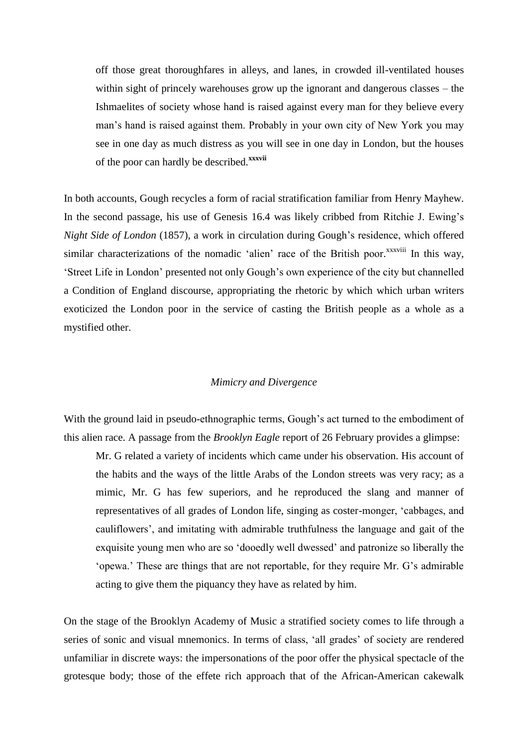off those great thoroughfares in alleys, and lanes, in crowded ill-ventilated houses within sight of princely warehouses grow up the ignorant and dangerous classes – the Ishmaelites of society whose hand is raised against every man for they believe every man"s hand is raised against them. Probably in your own city of New York you may see in one day as much distress as you will see in one day in London, but the houses of the poor can hardly be described.**xxxvii**

In both accounts, Gough recycles a form of racial stratification familiar from Henry Mayhew. In the second passage, his use of Genesis 16.4 was likely cribbed from Ritchie J. Ewing"s *Night Side of London* (1857), a work in circulation during Gough"s residence, which offered similar characterizations of the nomadic 'alien' race of the British poor.<sup>xxxviii</sup> In this way, "Street Life in London" presented not only Gough"s own experience of the city but channelled a Condition of England discourse, appropriating the rhetoric by which which urban writers exoticized the London poor in the service of casting the British people as a whole as a mystified other.

#### *Mimicry and Divergence*

With the ground laid in pseudo-ethnographic terms, Gough's act turned to the embodiment of this alien race. A passage from the *Brooklyn Eagle* report of 26 February provides a glimpse:

Mr. G related a variety of incidents which came under his observation. His account of the habits and the ways of the little Arabs of the London streets was very racy; as a mimic, Mr. G has few superiors, and he reproduced the slang and manner of representatives of all grades of London life, singing as coster-monger, "cabbages, and cauliflowers", and imitating with admirable truthfulness the language and gait of the exquisite young men who are so "dooedly well dwessed" and patronize so liberally the "opewa." These are things that are not reportable, for they require Mr. G"s admirable acting to give them the piquancy they have as related by him.

On the stage of the Brooklyn Academy of Music a stratified society comes to life through a series of sonic and visual mnemonics. In terms of class, 'all grades' of society are rendered unfamiliar in discrete ways: the impersonations of the poor offer the physical spectacle of the grotesque body; those of the effete rich approach that of the African-American cakewalk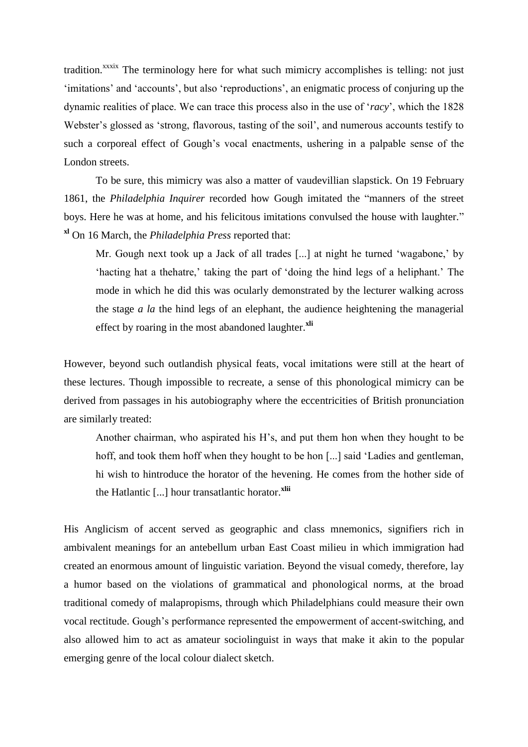tradition.<sup>xxxix</sup> The terminology here for what such mimicry accomplishes is telling: not just 'imitations' and 'accounts', but also 'reproductions', an enigmatic process of conjuring up the dynamic realities of place. We can trace this process also in the use of "*racy*", which the 1828 Webster's glossed as 'strong, flavorous, tasting of the soil', and numerous accounts testify to such a corporeal effect of Gough's vocal enactments, ushering in a palpable sense of the London streets.

To be sure, this mimicry was also a matter of vaudevillian slapstick. On 19 February 1861, the *Philadelphia Inquirer* recorded how Gough imitated the "manners of the street boys. Here he was at home, and his felicitous imitations convulsed the house with laughter." **xl** On 16 March, the *Philadelphia Press* reported that:

Mr. Gough next took up a Jack of all trades [...] at night he turned "wagabone," by "hacting hat a the hatre," taking the part of "doing the hind legs of a heliphant." The mode in which he did this was ocularly demonstrated by the lecturer walking across the stage *a la* the hind legs of an elephant, the audience heightening the managerial effect by roaring in the most abandoned laughter.**xli**

However, beyond such outlandish physical feats, vocal imitations were still at the heart of these lectures. Though impossible to recreate, a sense of this phonological mimicry can be derived from passages in his autobiography where the eccentricities of British pronunciation are similarly treated:

Another chairman, who aspirated his H"s, and put them hon when they hought to be hoff, and took them hoff when they hought to be hon [...] said "Ladies and gentleman, hi wish to hintroduce the horator of the hevening. He comes from the hother side of the Hatlantic [...] hour transatlantic horator.**xlii**

His Anglicism of accent served as geographic and class mnemonics, signifiers rich in ambivalent meanings for an antebellum urban East Coast milieu in which immigration had created an enormous amount of linguistic variation. Beyond the visual comedy, therefore, lay a humor based on the violations of grammatical and phonological norms, at the broad traditional comedy of malapropisms, through which Philadelphians could measure their own vocal rectitude. Gough"s performance represented the empowerment of accent-switching, and also allowed him to act as amateur sociolinguist in ways that make it akin to the popular emerging genre of the local colour dialect sketch.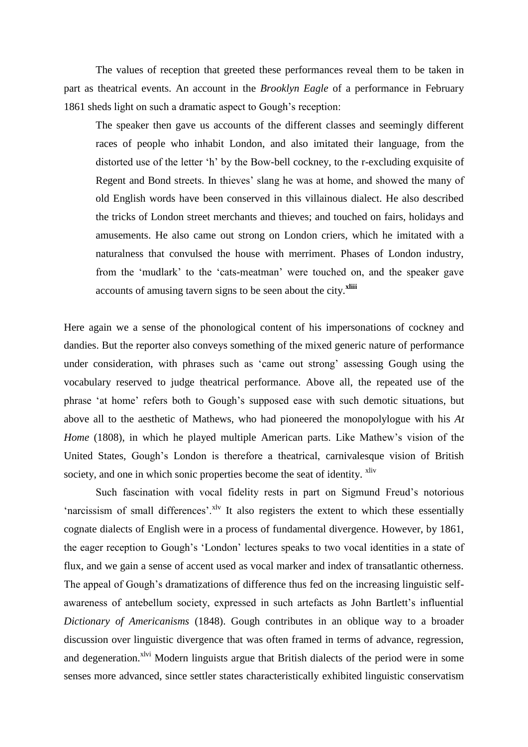The values of reception that greeted these performances reveal them to be taken in part as theatrical events. An account in the *Brooklyn Eagle* of a performance in February 1861 sheds light on such a dramatic aspect to Gough"s reception:

The speaker then gave us accounts of the different classes and seemingly different races of people who inhabit London, and also imitated their language, from the distorted use of the letter "h" by the Bow-bell cockney, to the r-excluding exquisite of Regent and Bond streets. In thieves' slang he was at home, and showed the many of old English words have been conserved in this villainous dialect. He also described the tricks of London street merchants and thieves; and touched on fairs, holidays and amusements. He also came out strong on London criers, which he imitated with a naturalness that convulsed the house with merriment. Phases of London industry, from the "mudlark" to the "cats-meatman" were touched on, and the speaker gave accounts of amusing tavern signs to be seen about the city.**xliii**

Here again we a sense of the phonological content of his impersonations of cockney and dandies. But the reporter also conveys something of the mixed generic nature of performance under consideration, with phrases such as "came out strong" assessing Gough using the vocabulary reserved to judge theatrical performance. Above all, the repeated use of the phrase "at home" refers both to Gough"s supposed ease with such demotic situations, but above all to the aesthetic of Mathews, who had pioneered the monopolylogue with his *At Home* (1808), in which he played multiple American parts. Like Mathew's vision of the United States, Gough"s London is therefore a theatrical, carnivalesque vision of British society, and one in which sonic properties become the seat of identity. <sup>xliv</sup>

Such fascination with vocal fidelity rests in part on Sigmund Freud"s notorious "narcissism of small differences".<sup>xlv</sup> It also registers the extent to which these essentially cognate dialects of English were in a process of fundamental divergence. However, by 1861, the eager reception to Gough"s "London" lectures speaks to two vocal identities in a state of flux, and we gain a sense of accent used as vocal marker and index of transatlantic otherness. The appeal of Gough's dramatizations of difference thus fed on the increasing linguistic selfawareness of antebellum society, expressed in such artefacts as John Bartlett's influential *Dictionary of Americanisms* (1848). Gough contributes in an oblique way to a broader discussion over linguistic divergence that was often framed in terms of advance, regression, and degeneration.<sup>xlvi</sup> Modern linguists argue that British dialects of the period were in some senses more advanced, since settler states characteristically exhibited linguistic conservatism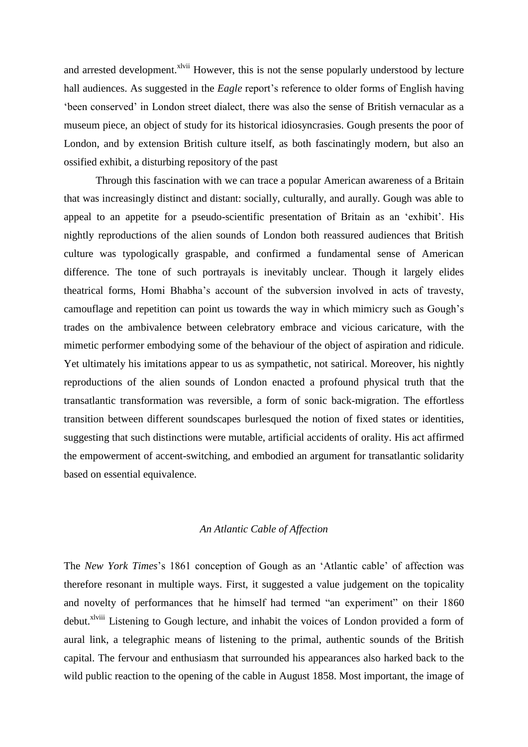and arrested development.<sup>xlvii</sup> However, this is not the sense popularly understood by lecture hall audiences. As suggested in the *Eagle* report's reference to older forms of English having "been conserved" in London street dialect, there was also the sense of British vernacular as a museum piece, an object of study for its historical idiosyncrasies. Gough presents the poor of London, and by extension British culture itself, as both fascinatingly modern, but also an ossified exhibit, a disturbing repository of the past

Through this fascination with we can trace a popular American awareness of a Britain that was increasingly distinct and distant: socially, culturally, and aurally. Gough was able to appeal to an appetite for a pseudo-scientific presentation of Britain as an "exhibit". His nightly reproductions of the alien sounds of London both reassured audiences that British culture was typologically graspable, and confirmed a fundamental sense of American difference. The tone of such portrayals is inevitably unclear. Though it largely elides theatrical forms, Homi Bhabha"s account of the subversion involved in acts of travesty, camouflage and repetition can point us towards the way in which mimicry such as Gough"s trades on the ambivalence between celebratory embrace and vicious caricature, with the mimetic performer embodying some of the behaviour of the object of aspiration and ridicule. Yet ultimately his imitations appear to us as sympathetic, not satirical. Moreover, his nightly reproductions of the alien sounds of London enacted a profound physical truth that the transatlantic transformation was reversible, a form of sonic back-migration. The effortless transition between different soundscapes burlesqued the notion of fixed states or identities, suggesting that such distinctions were mutable, artificial accidents of orality. His act affirmed the empowerment of accent-switching, and embodied an argument for transatlantic solidarity based on essential equivalence.

#### *An Atlantic Cable of Affection*

The *New York Times*"s 1861 conception of Gough as an "Atlantic cable" of affection was therefore resonant in multiple ways. First, it suggested a value judgement on the topicality and novelty of performances that he himself had termed "an experiment" on their 1860 debut. Xlviii Listening to Gough lecture, and inhabit the voices of London provided a form of aural link, a telegraphic means of listening to the primal, authentic sounds of the British capital. The fervour and enthusiasm that surrounded his appearances also harked back to the wild public reaction to the opening of the cable in August 1858. Most important, the image of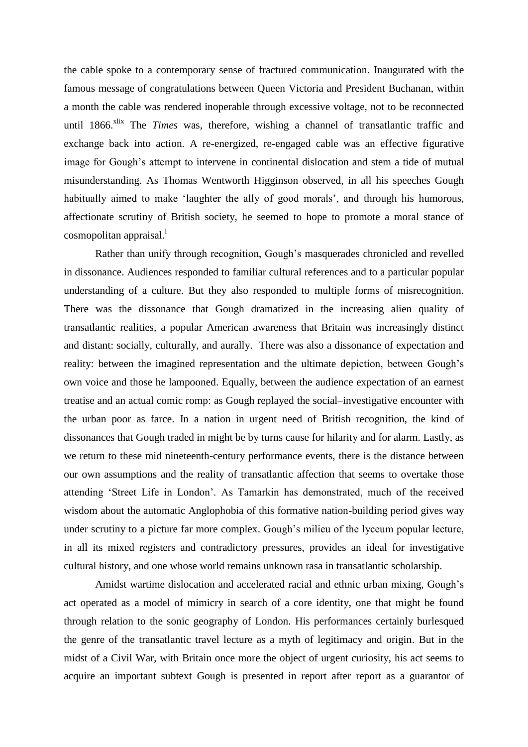the cable spoke to a contemporary sense of fractured communication. Inaugurated with the famous message of congratulations between Queen Victoria and President Buchanan, within a month the cable was rendered inoperable through excessive voltage, not to be reconnected until 1866.<sup>xlix</sup> The *Times* was, therefore, wishing a channel of transatlantic traffic and exchange back into action. A re-energized, re-engaged cable was an effective figurative image for Gough's attempt to intervene in continental dislocation and stem a tide of mutual misunderstanding. As Thomas Wentworth Higginson observed, in all his speeches Gough habitually aimed to make 'laughter the ally of good morals', and through his humorous, affectionate scrutiny of British society, he seemed to hope to promote a moral stance of  $cosm$ opolitan appraisal.<sup>1</sup>

Rather than unify through recognition, Gough"s masquerades chronicled and revelled in dissonance. Audiences responded to familiar cultural references and to a particular popular understanding of a culture. But they also responded to multiple forms of misrecognition. There was the dissonance that Gough dramatized in the increasing alien quality of transatlantic realities, a popular American awareness that Britain was increasingly distinct and distant: socially, culturally, and aurally. There was also a dissonance of expectation and reality: between the imagined representation and the ultimate depiction, between Gough"s own voice and those he lampooned. Equally, between the audience expectation of an earnest treatise and an actual comic romp: as Gough replayed the social–investigative encounter with the urban poor as farce. In a nation in urgent need of British recognition, the kind of dissonances that Gough traded in might be by turns cause for hilarity and for alarm. Lastly, as we return to these mid nineteenth-century performance events, there is the distance between our own assumptions and the reality of transatlantic affection that seems to overtake those attending "Street Life in London". As Tamarkin has demonstrated, much of the received wisdom about the automatic Anglophobia of this formative nation-building period gives way under scrutiny to a picture far more complex. Gough"s milieu of the lyceum popular lecture, in all its mixed registers and contradictory pressures, provides an ideal for investigative cultural history, and one whose world remains unknown rasa in transatlantic scholarship.

Amidst wartime dislocation and accelerated racial and ethnic urban mixing, Gough"s act operated as a model of mimicry in search of a core identity, one that might be found through relation to the sonic geography of London. His performances certainly burlesqued the genre of the transatlantic travel lecture as a myth of legitimacy and origin. But in the midst of a Civil War, with Britain once more the object of urgent curiosity, his act seems to acquire an important subtext Gough is presented in report after report as a guarantor of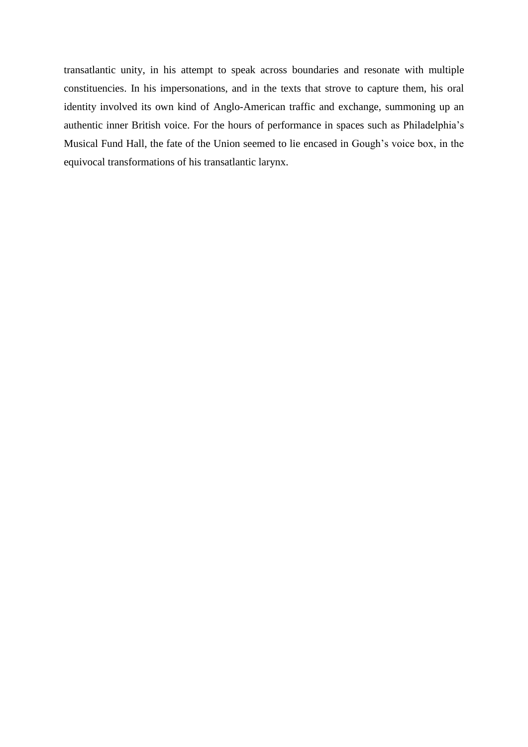transatlantic unity, in his attempt to speak across boundaries and resonate with multiple constituencies. In his impersonations, and in the texts that strove to capture them, his oral identity involved its own kind of Anglo-American traffic and exchange, summoning up an authentic inner British voice. For the hours of performance in spaces such as Philadelphia"s Musical Fund Hall, the fate of the Union seemed to lie encased in Gough"s voice box, in the equivocal transformations of his transatlantic larynx.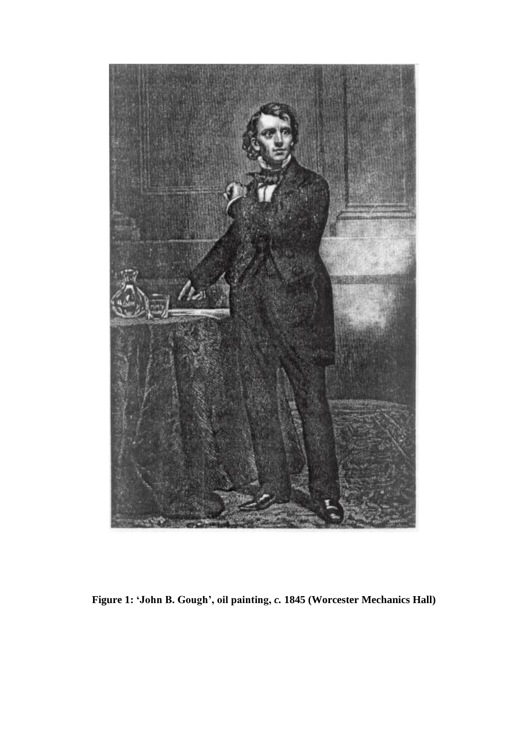

**Figure 1: 'John B. Gough', oil painting,** *c.* **1845 (Worcester Mechanics Hall)**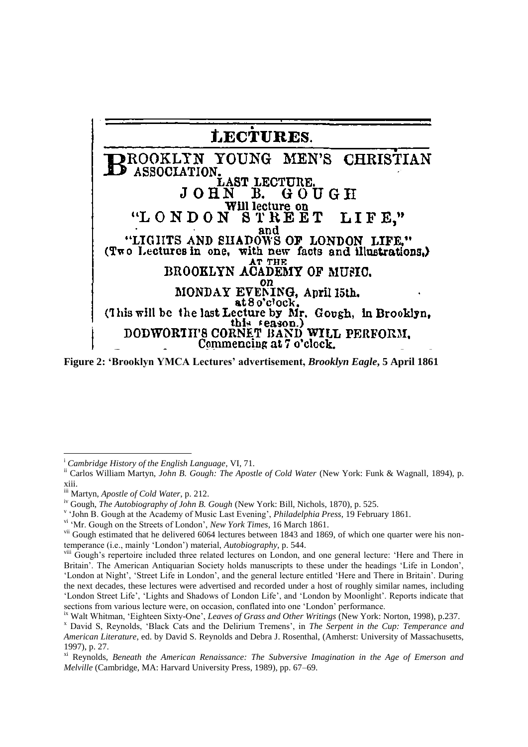#### **LECTURES.** YOUNG MEN'S CHRISTIAN ROOKLYN **ASSOCIATION** AST LECTIIRE OHN В. GOUGH Will lecture on "LONDON LIFE."  $S$  T  $R$  E  $E$ and "LIGHTS AND SHADOWS OF LONDON LIFE." (Two Lectures in one, with new facts and illustrations,) AT THE BROOKLYN ACADEMY OF MUSIC. on MONDAY EVENING, April 15th. at 8 o'c'ock, (This will be the last Lecture by Mr. Gough, in Brooklyn, this reason.) DODWORTH'S CORNET BAND WILL PERFORM, Commencing at 7 o'clock.

**Figure 2: 'Brooklyn YMCA Lectures' advertisement,** *Brooklyn Eagle***, 5 April 1861**

**.** 

- <sup>v</sup> 'John B. Gough at the Academy of Music Last Evening', *Philadelphia Press*, 19 February 1861.
- vi "Mr. Gough on the Streets of London", *New York Times*, 16 March 1861.

<sup>i</sup> *Cambridge History of the English Language*, VI, 71.

ii Carlos William Martyn, *John B. Gough: The Apostle of Cold Water* (New York: Funk & Wagnall, 1894), p. xiii.

iii Martyn, *Apostle of Cold Water*, p. 212.

iv Gough, *The Autobiography of John B. Gough* (New York: Bill, Nichols, 1870), p. 525.

<sup>&</sup>lt;sup>vii</sup> Gough estimated that he delivered 6064 lectures between 1843 and 1869, of which one quarter were his nontemperance (i.e., mainly "London") material, *Autobiography*, p. 544.

viii Gough"s repertoire included three related lectures on London, and one general lecture: "Here and There in Britain'. The American Antiquarian Society holds manuscripts to these under the headings 'Life in London', 'London at Night', 'Street Life in London', and the general lecture entitled 'Here and There in Britain'. During the next decades, these lectures were advertised and recorded under a host of roughly similar names, including "London Street Life", "Lights and Shadows of London Life", and "London by Moonlight". Reports indicate that sections from various lecture were, on occasion, conflated into one "London" performance.

ix Walt Whitman, "Eighteen Sixty-One", *Leaves of Grass and Other Writings* (New York: Norton, 1998), p.237.

<sup>x</sup> David S, Reynolds, "Black Cats and the Delirium Tremens", in *The Serpent in the Cup: Temperance and American Literature*, ed. by David S. Reynolds and Debra J. Rosenthal, (Amherst: University of Massachusetts, 1997), p. 27.

xi Reynolds, *Beneath the American Renaissance: The Subversive Imagination in the Age of Emerson and Melville* (Cambridge, MA: Harvard University Press, 1989), pp. 67–69.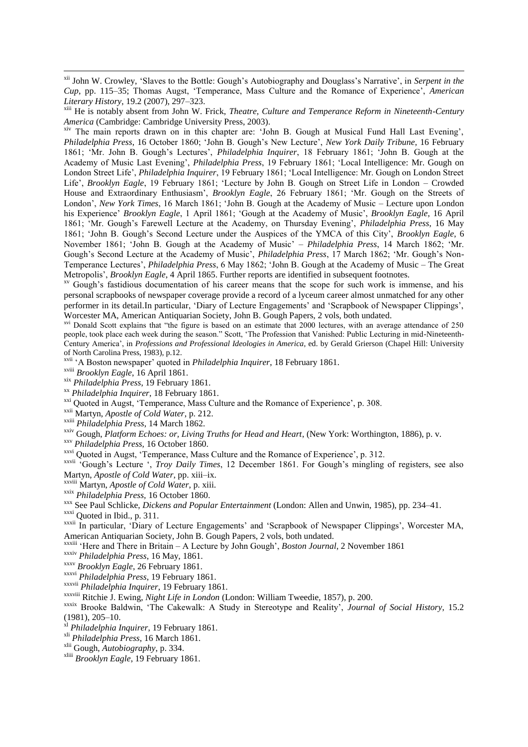xii John W. Crowley, "Slaves to the Bottle: Gough"s Autobiography and Douglass"s Narrative", in *Serpent in the Cup*, pp. 115–35; Thomas Augst, "Temperance, Mass Culture and the Romance of Experience", *American Literary History*, 19.2 (2007), 297–323.

xiii He is notably absent from John W. Frick, *Theatre, Culture and Temperance Reform in Nineteenth-Century America* (Cambridge: Cambridge University Press, 2003).

<sup>xiv</sup> The main reports drawn on in this chapter are: 'John B. Gough at Musical Fund Hall Last Evening', *Philadelphia Press*, 16 October 1860; "John B. Gough"s New Lecture", *New York Daily Tribune*, 16 February 1861; "Mr. John B. Gough"s Lectures", *Philadelphia Inquirer*, 18 February 1861; "John B. Gough at the Academy of Music Last Evening", *Philadelphia Press*, 19 February 1861; "Local Intelligence: Mr. Gough on London Street Life", *Philadelphia Inquirer*, 19 February 1861; "Local Intelligence: Mr. Gough on London Street Life", *Brooklyn Eagle*, 19 February 1861; "Lecture by John B. Gough on Street Life in London – Crowded House and Extraordinary Enthusiasm", *Brooklyn Eagle*, 26 February 1861; "Mr. Gough on the Streets of London", *New York Times*, 16 March 1861; "John B. Gough at the Academy of Music – Lecture upon London his Experience" *Brooklyn Eagle*, 1 April 1861; "Gough at the Academy of Music", *Brooklyn Eagle*, 16 April 1861; "Mr. Gough"s Farewell Lecture at the Academy, on Thursday Evening", *Philadelphia Press*, 16 May 1861; "John B. Gough's Second Lecture under the Auspices of the YMCA of this City<sup>5</sup>, *Brooklyn Eagle*, 6 November 1861; "John B. Gough at the Academy of Music" – *Philadelphia Press*, 14 March 1862; "Mr. Gough"s Second Lecture at the Academy of Music", *Philadelphia Press*, 17 March 1862; "Mr. Gough"s Non-Temperance Lectures", *Philadelphia Press*, 6 May 1862; "John B. Gough at the Academy of Music – The Great Metropolis", *Brooklyn Eagle*, 4 April 1865. Further reports are identified in subsequent footnotes.

xv Gough"s fastidious documentation of his career means that the scope for such work is immense, and his personal scrapbooks of newspaper coverage provide a record of a lyceum career almost unmatched for any other performer in its detail.In particular, 'Diary of Lecture Engagements' and 'Scrapbook of Newspaper Clippings', Worcester MA, American Antiquarian Society, John B. Gough Papers, 2 vols, both undated.

<sup>xvi</sup> Donald Scott explains that "the figure is based on an estimate that 2000 lectures, with an average attendance of 250 people, took place each week during the season." Scott, "The Profession that Vanished: Public Lecturing in mid-Nineteenth-Century America", in *Professions and Professional Ideologies in America*, ed. by Gerald Grierson (Chapel Hill: University of North Carolina Press, 1983), p.12.

xvii "A Boston newspaper" quoted in *Philadelphia Inquirer*, 18 February 1861.

xviii *Brooklyn Eagle*, 16 April 1861.

1

xix *Philadelphia Press*, 19 February 1861.

xx *Philadelphia Inquirer*, 18 February 1861.

<sup>xxi</sup> Quoted in Augst, 'Temperance, Mass Culture and the Romance of Experience', p. 308.

xxii Martyn, *Apostle of Cold Water*, p. 212.

xxiii *Philadelphia Press*, 14 March 1862.

xxiv Gough, *Platform Echoes: or, Living Truths for Head and Heart*, (New York: Worthington, 1886), p. v.

xxv *Philadelphia Press,* 16 October 1860.

<sup>xxvi</sup> Quoted in Augst, 'Temperance, Mass Culture and the Romance of Experience', p. 312.

xxvii Gough's Lecture ', *Troy Daily Times*, 12 December 1861. For Gough's mingling of registers, see also Martyn, *Apostle of Cold Water*, pp. xiii–ix.

xxviii Martyn, *Apostle of Cold Water*, p. xiii.

xxix *Philadelphia Press,* 16 October 1860.

xxx See Paul Schlicke, *Dickens and Popular Entertainment* (London: Allen and Unwin, 1985), pp. 234–41.

xxxi Quoted in Ibid., p. 311.

<sup>xxxii</sup> In particular, 'Diary of Lecture Engagements' and 'Scrapbook of Newspaper Clippings', Worcester MA, American Antiquarian Society, John B. Gough Papers, 2 vols, both undated.

xxxiii "Here and There in Britain – A Lecture by John Gough", *Boston Journal*, 2 November 1861

xxxiv *Philadelphia Press*, 16 May, 1861.

xxxv *Brooklyn Eagle*, 26 February 1861.

xxxvi *Philadelphia Press*, 19 February 1861.

xxxvii *Philadelphia Inquirer*, 19 February 1861.

xxxviii Ritchie J. Ewing, *Night Life in London* (London: William Tweedie, 1857), p. 200.

xxxix Brooke Baldwin, "The Cakewalk: A Study in Stereotype and Reality", *Journal of Social History*, 15.2 (1981), 205–10.

xl *Philadelphia Inquirer*, 19 February 1861.

xli *Philadelphia Press*, 16 March 1861.

xlii Gough, *Autobiography*, p. 334.

xliii *Brooklyn Eagle*, 19 February 1861.